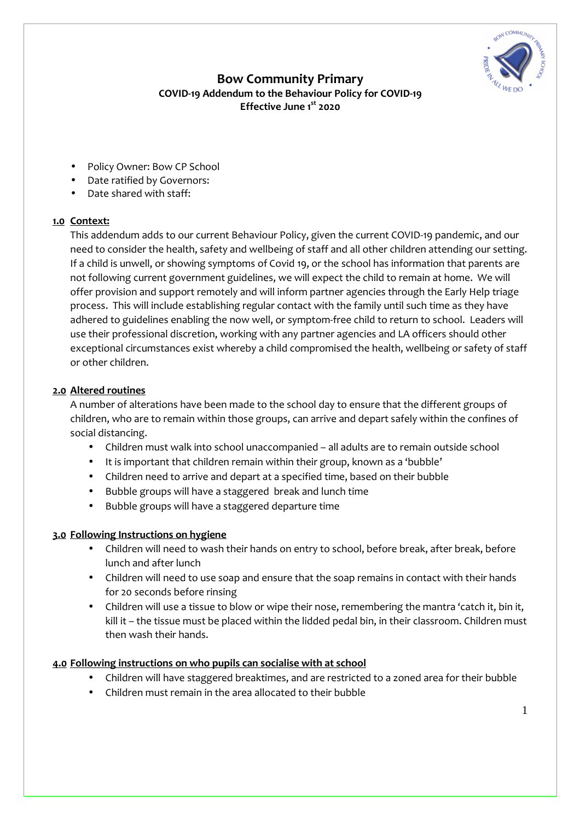

# **Bow Community Primary COVID-19 Addendum to the Behaviour Policy for COVID-19 Effective June 1st 2020**

- Policy Owner: Bow CP School
- Date ratified by Governors:
- Date shared with staff:

### **1.0 Context:**

This addendum adds to our current Behaviour Policy, given the current COVID-19 pandemic, and our need to consider the health, safety and wellbeing of staff and all other children attending our setting. If a child is unwell, or showing symptoms of Covid 19, or the school has information that parents are not following current government guidelines, we will expect the child to remain at home. We will offer provision and support remotely and will inform partner agencies through the Early Help triage process. This will include establishing regular contact with the family until such time as they have adhered to guidelines enabling the now well, or symptom-free child to return to school. Leaders will use their professional discretion, working with any partner agencies and LA officers should other exceptional circumstances exist whereby a child compromised the health, wellbeing or safety of staff or other children.

### **2.0 Altered routines**

A number of alterations have been made to the school day to ensure that the different groups of children, who are to remain within those groups, can arrive and depart safely within the confines of social distancing.

- Children must walk into school unaccompanied all adults are to remain outside school
- It is important that children remain within their group, known as a 'bubble'
- Children need to arrive and depart at a specified time, based on their bubble
- Bubble groups will have a staggered break and lunch time
- Bubble groups will have a staggered departure time

### **3.0 Following Instructions on hygiene**

- Children will need to wash their hands on entry to school, before break, after break, before lunch and after lunch
- Children will need to use soap and ensure that the soap remains in contact with their hands for 20 seconds before rinsing
- Children will use a tissue to blow or wipe their nose, remembering the mantra 'catch it, bin it, kill it – the tissue must be placed within the lidded pedal bin, in their classroom. Children must then wash their hands.

### **4.0 Following instructions on who pupils can socialise with at school**

- Children will have staggered breaktimes, and are restricted to a zoned area for their bubble
- Children must remain in the area allocated to their bubble